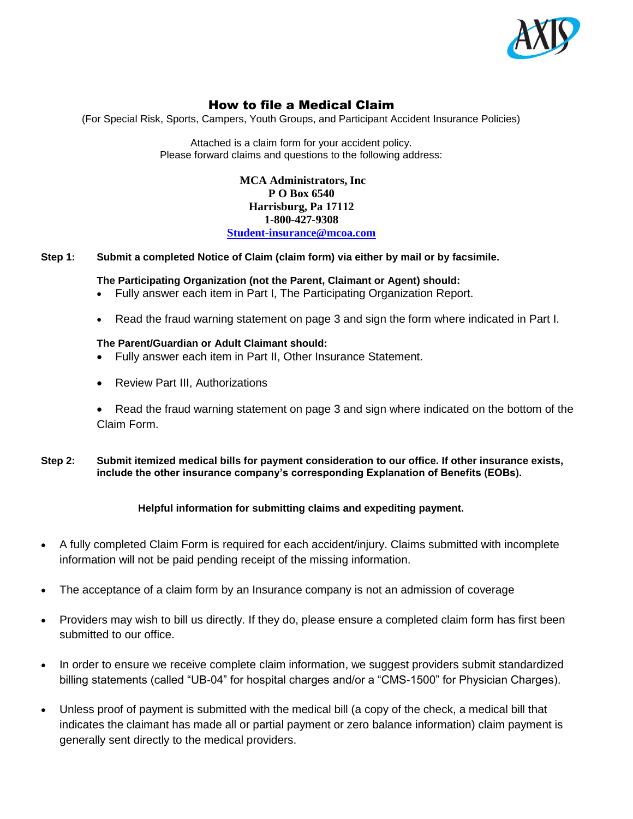

# How to file a Medical Claim

(For Special Risk, Sports, Campers, Youth Groups, and Participant Accident Insurance Policies)

Attached is a claim form for your accident policy. Please forward claims and questions to the following address:

> **MCA Administrators, Inc P O Box 6540 Harrisburg, Pa 17112 1-800-427-9308 [Student-insurance@mcoa.com](mailto:Student-insurance@mcoa.com)**

# **Step 1: Submit a completed Notice of Claim (claim form) via either by mail or by facsimile.**

# **The Participating Organization (not the Parent, Claimant or Agent) should:**

- Fully answer each item in Part I, The Participating Organization Report.
- Read the fraud warning statement on page 3 and sign the form where indicated in Part I.

# **The Parent/Guardian or Adult Claimant should:**

- Fully answer each item in Part II, Other Insurance Statement.
- Review Part III, Authorizations
- Read the fraud warning statement on page 3 and sign where indicated on the bottom of the Claim Form.
- **Step 2: Submit itemized medical bills for payment consideration to our office. If other insurance exists, include the other insurance company's corresponding Explanation of Benefits (EOBs).**

# **Helpful information for submitting claims and expediting payment.**

- A fully completed Claim Form is required for each accident/injury. Claims submitted with incomplete information will not be paid pending receipt of the missing information.
- The acceptance of a claim form by an Insurance company is not an admission of coverage
- Providers may wish to bill us directly. If they do, please ensure a completed claim form has first been submitted to our office.
- In order to ensure we receive complete claim information, we suggest providers submit standardized billing statements (called "UB-04" for hospital charges and/or a "CMS-1500" for Physician Charges).
- Unless proof of payment is submitted with the medical bill (a copy of the check, a medical bill that indicates the claimant has made all or partial payment or zero balance information) claim payment is generally sent directly to the medical providers.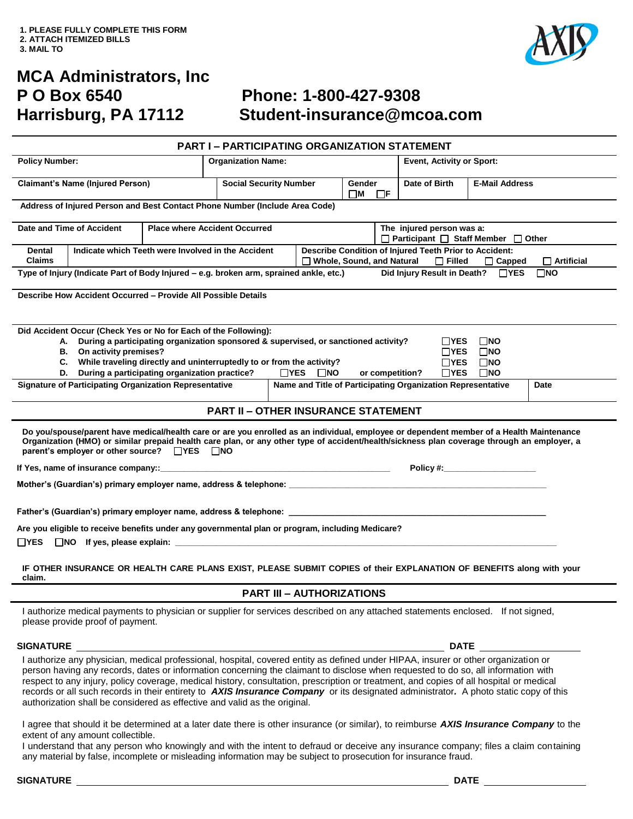

# **MCA Administrators, Inc P O Box 6540 Phone: 1-800-427-9308**

# **Harrisburg, PA 17112 Student-insurance@mcoa.com**

|                                                                                                                                                                                                                                                                                                                                                                                                                                                                                                                                                                                                                                    |                                                    | <b>PART I-PARTICIPATING ORGANIZATION STATEMENT</b> |                           |                                                                   |                                                                                                                                              |                           |  |
|------------------------------------------------------------------------------------------------------------------------------------------------------------------------------------------------------------------------------------------------------------------------------------------------------------------------------------------------------------------------------------------------------------------------------------------------------------------------------------------------------------------------------------------------------------------------------------------------------------------------------------|----------------------------------------------------|----------------------------------------------------|---------------------------|-------------------------------------------------------------------|----------------------------------------------------------------------------------------------------------------------------------------------|---------------------------|--|
| <b>Policy Number:</b>                                                                                                                                                                                                                                                                                                                                                                                                                                                                                                                                                                                                              |                                                    |                                                    | <b>Organization Name:</b> |                                                                   |                                                                                                                                              | Event, Activity or Sport: |  |
| <b>Claimant's Name (Injured Person)</b>                                                                                                                                                                                                                                                                                                                                                                                                                                                                                                                                                                                            |                                                    | <b>Social Security Number</b>                      |                           | Gender<br>ПM<br>$\Box$ F                                          | Date of Birth                                                                                                                                | <b>E-Mail Address</b>     |  |
| Address of Injured Person and Best Contact Phone Number (Include Area Code)                                                                                                                                                                                                                                                                                                                                                                                                                                                                                                                                                        |                                                    |                                                    |                           |                                                                   |                                                                                                                                              |                           |  |
| Date and Time of Accident                                                                                                                                                                                                                                                                                                                                                                                                                                                                                                                                                                                                          | <b>Place where Accident Occurred</b>               |                                                    |                           | The injured person was a:<br>□ Participant □ Staff Member □ Other |                                                                                                                                              |                           |  |
| <b>Dental</b><br><b>Claims</b>                                                                                                                                                                                                                                                                                                                                                                                                                                                                                                                                                                                                     | Indicate which Teeth were Involved in the Accident |                                                    |                           |                                                                   | Describe Condition of Injured Teeth Prior to Accident:<br>□ Whole, Sound, and Natural<br>$\Box$ Filled<br>$\Box$ Artificial<br>$\Box$ Capped |                           |  |
| Type of Injury (Indicate Part of Body Injured - e.g. broken arm, sprained ankle, etc.)<br>Did Injury Result in Death?<br>$\Box$ YES<br>$\square$ NO                                                                                                                                                                                                                                                                                                                                                                                                                                                                                |                                                    |                                                    |                           |                                                                   |                                                                                                                                              |                           |  |
| Describe How Accident Occurred - Provide All Possible Details                                                                                                                                                                                                                                                                                                                                                                                                                                                                                                                                                                      |                                                    |                                                    |                           |                                                                   |                                                                                                                                              |                           |  |
| Did Accident Occur (Check Yes or No for Each of the Following):<br>A. During a participating organization sponsored & supervised, or sanctioned activity?<br>ΠYES<br>$\square$ NO<br>B. On activity premises?<br>$\Box$ YES<br>$\square$ NO<br>C. While traveling directly and uninterruptedly to or from the activity?<br>$\Box$ YES<br>$\square$ NO<br>D. During a participating organization practice?<br>$\Box$ YES<br>$\square$ NO<br>$\sqcap$ YES<br>$\square$ NO<br>or competition?<br><b>Signature of Participating Organization Representative</b><br>Name and Title of Participating Organization Representative<br>Date |                                                    |                                                    |                           |                                                                   |                                                                                                                                              |                           |  |
| <b>PART II - OTHER INSURANCE STATEMENT</b>                                                                                                                                                                                                                                                                                                                                                                                                                                                                                                                                                                                         |                                                    |                                                    |                           |                                                                   |                                                                                                                                              |                           |  |
| Do you/spouse/parent have medical/health care or are you enrolled as an individual, employee or dependent member of a Health Maintenance<br>Organization (HMO) or similar prepaid health care plan, or any other type of accident/health/sickness plan coverage through an employer, a<br>parent's employer or other source? □ YES □ NO                                                                                                                                                                                                                                                                                            |                                                    |                                                    |                           |                                                                   |                                                                                                                                              |                           |  |
| If Yes, name of insurance company::                                                                                                                                                                                                                                                                                                                                                                                                                                                                                                                                                                                                |                                                    | Policy #:                                          |                           |                                                                   |                                                                                                                                              |                           |  |
| Mother's (Guardian's) primary employer name, address & telephone: __________________________________                                                                                                                                                                                                                                                                                                                                                                                                                                                                                                                               |                                                    |                                                    |                           |                                                                   |                                                                                                                                              |                           |  |
|                                                                                                                                                                                                                                                                                                                                                                                                                                                                                                                                                                                                                                    |                                                    |                                                    |                           |                                                                   |                                                                                                                                              |                           |  |
| Are you eligible to receive benefits under any governmental plan or program, including Medicare?<br>$\Box$ NO If yes, please explain: $\Box$<br>$\Box$ YES                                                                                                                                                                                                                                                                                                                                                                                                                                                                         |                                                    |                                                    |                           |                                                                   |                                                                                                                                              |                           |  |
| IF OTHER INSURANCE OR HEALTH CARE PLANS EXIST, PLEASE SUBMIT COPIES of their EXPLANATION OF BENEFITS along with your<br>claim.                                                                                                                                                                                                                                                                                                                                                                                                                                                                                                     |                                                    |                                                    |                           |                                                                   |                                                                                                                                              |                           |  |

# **PART III – AUTHORIZATIONS**

I authorize medical payments to physician or supplier for services described on any attached statements enclosed. If not signed, please provide proof of payment.

### **SIGNATURE DATE**

I authorize any physician, medical professional, hospital, covered entity as defined under HIPAA, insurer or other organization or person having any records, dates or information concerning the claimant to disclose when requested to do so, all information with respect to any injury, policy coverage, medical history, consultation, prescription or treatment, and copies of all hospital or medical records or all such records in their entirety to *AXIS Insurance Company* or its designated administrator*.* A photo static copy of this authorization shall be considered as effective and valid as the original.

I agree that should it be determined at a later date there is other insurance (or similar), to reimburse *AXIS Insurance Company* to the extent of any amount collectible.

I understand that any person who knowingly and with the intent to defraud or deceive any insurance company; files a claim containing any material by false, incomplete or misleading information may be subject to prosecution for insurance fraud.